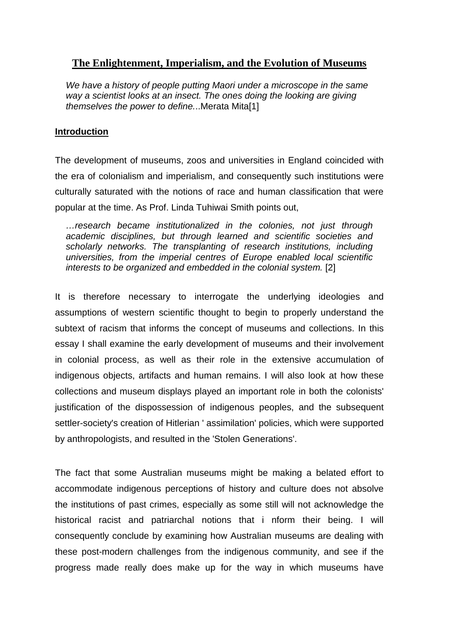# **The Enlightenment, Imperialism, and the Evolution of Museums**

*We have a history of people putting Maori under a microscope in the same way a scientist looks at an insect. The ones doing the looking are giving themselves the power to define.*..Merata Mita[1]

# **Introduction**

The development of museums, zoos and universities in England coincided with the era of colonialism and imperialism, and consequently such institutions were culturally saturated with the notions of race and human classification that were popular at the time. As Prof. Linda Tuhiwai Smith points out,

*…research became institutionalized in the colonies, not just through academic disciplines, but through learned and scientific societies and scholarly networks. The transplanting of research institutions, including universities, from the imperial centres of Europe enabled local scientific interests to be organized and embedded in the colonial system.* [2]

It is therefore necessary to interrogate the underlying ideologies and assumptions of western scientific thought to begin to properly understand the subtext of racism that informs the concept of museums and collections. In this essay I shall examine the early development of museums and their involvement in colonial process, as well as their role in the extensive accumulation of indigenous objects, artifacts and human remains. I will also look at how these collections and museum displays played an important role in both the colonists' justification of the dispossession of indigenous peoples, and the subsequent settler-society's creation of Hitlerian ' assimilation' policies, which were supported by anthropologists, and resulted in the 'Stolen Generations'.

The fact that some Australian museums might be making a belated effort to accommodate indigenous perceptions of history and culture does not absolve the institutions of past crimes, especially as some still will not acknowledge the historical racist and patriarchal notions that i nform their being. I will consequently conclude by examining how Australian museums are dealing with these post-modern challenges from the indigenous community, and see if the progress made really does make up for the way in which museums have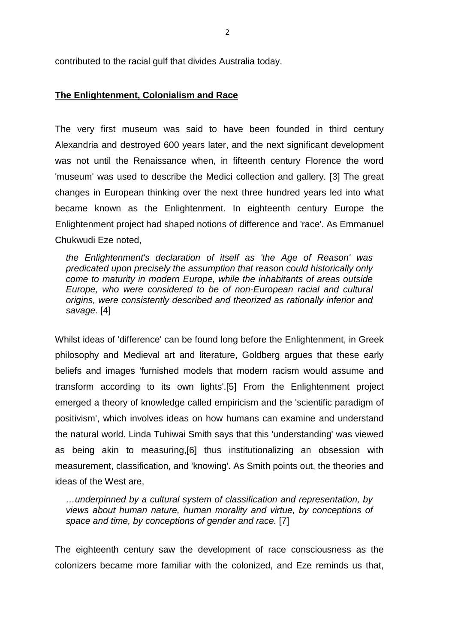contributed to the racial gulf that divides Australia today.

### **The Enlightenment, Colonialism and Race**

The very first museum was said to have been founded in third century Alexandria and destroyed 600 years later, and the next significant development was not until the Renaissance when, in fifteenth century Florence the word 'museum' was used to describe the Medici collection and gallery. [3] The great changes in European thinking over the next three hundred years led into what became known as the Enlightenment. In eighteenth century Europe the Enlightenment project had shaped notions of difference and 'race'. As Emmanuel Chukwudi Eze noted,

*the Enlightenment's declaration of itself as 'the Age of Reason' was predicated upon precisely the assumption that reason could historically only come to maturity in modern Europe, while the inhabitants of areas outside Europe, who were considered to be of non-European racial and cultural origins, were consistently described and theorized as rationally inferior and savage.* [4]

Whilst ideas of 'difference' can be found long before the Enlightenment, in Greek philosophy and Medieval art and literature, Goldberg argues that these early beliefs and images 'furnished models that modern racism would assume and transform according to its own lights'.[5] From the Enlightenment project emerged a theory of knowledge called empiricism and the 'scientific paradigm of positivism', which involves ideas on how humans can examine and understand the natural world. Linda Tuhiwai Smith says that this 'understanding' was viewed as being akin to measuring,[6] thus institutionalizing an obsession with measurement, classification, and 'knowing'. As Smith points out, the theories and ideas of the West are,

*…underpinned by a cultural system of classification and representation, by views about human nature, human morality and virtue, by conceptions of space and time, by conceptions of gender and race.* [7]

The eighteenth century saw the development of race consciousness as the colonizers became more familiar with the colonized, and Eze reminds us that,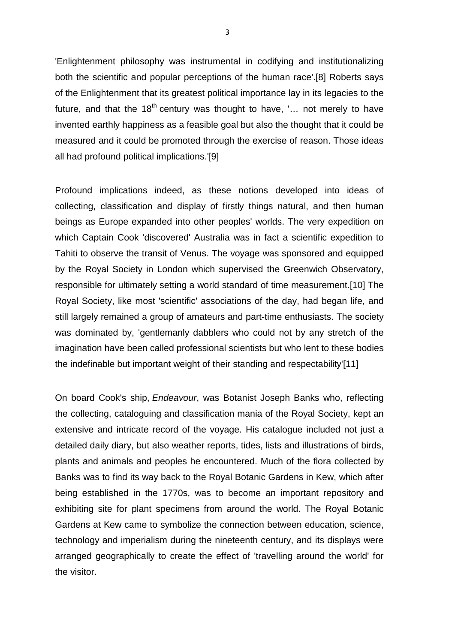'Enlightenment philosophy was instrumental in codifying and institutionalizing both the scientific and popular perceptions of the human race'.[8] Roberts says of the Enlightenment that its greatest political importance lay in its legacies to the future, and that the  $18<sup>th</sup>$  century was thought to have, '... not merely to have invented earthly happiness as a feasible goal but also the thought that it could be measured and it could be promoted through the exercise of reason. Those ideas all had profound political implications.'[9]

Profound implications indeed, as these notions developed into ideas of collecting, classification and display of firstly things natural, and then human beings as Europe expanded into other peoples' worlds. The very expedition on which Captain Cook 'discovered' Australia was in fact a scientific expedition to Tahiti to observe the transit of Venus. The voyage was sponsored and equipped by the Royal Society in London which supervised the Greenwich Observatory, responsible for ultimately setting a world standard of time measurement.[10] The Royal Society, like most 'scientific' associations of the day, had began life, and still largely remained a group of amateurs and part-time enthusiasts. The society was dominated by, 'gentlemanly dabblers who could not by any stretch of the imagination have been called professional scientists but who lent to these bodies the indefinable but important weight of their standing and respectability'[11]

On board Cook's ship, *Endeavour*, was Botanist Joseph Banks who, reflecting the collecting, cataloguing and classification mania of the Royal Society, kept an extensive and intricate record of the voyage. His catalogue included not just a detailed daily diary, but also weather reports, tides, lists and illustrations of birds, plants and animals and peoples he encountered. Much of the flora collected by Banks was to find its way back to the Royal Botanic Gardens in Kew, which after being established in the 1770s, was to become an important repository and exhibiting site for plant specimens from around the world. The Royal Botanic Gardens at Kew came to symbolize the connection between education, science, technology and imperialism during the nineteenth century, and its displays were arranged geographically to create the effect of 'travelling around the world' for the visitor.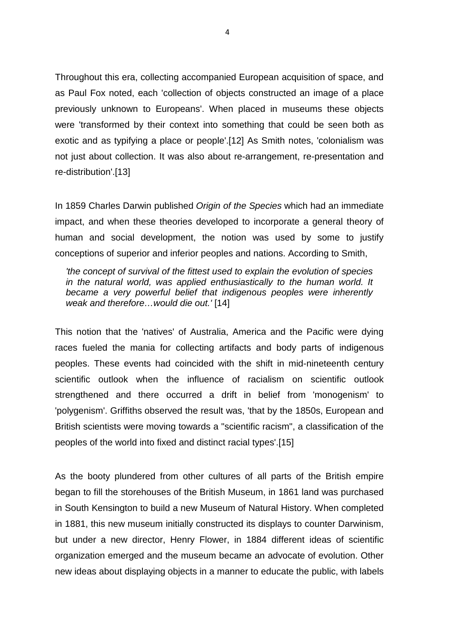Throughout this era, collecting accompanied European acquisition of space, and as Paul Fox noted, each 'collection of objects constructed an image of a place previously unknown to Europeans'. When placed in museums these objects were 'transformed by their context into something that could be seen both as exotic and as typifying a place or people'.[12] As Smith notes, 'colonialism was not just about collection. It was also about re-arrangement, re-presentation and re-distribution'.[13]

In 1859 Charles Darwin published *Origin of the Species* which had an immediate impact, and when these theories developed to incorporate a general theory of human and social development, the notion was used by some to justify conceptions of superior and inferior peoples and nations. According to Smith,

*'the concept of survival of the fittest used to explain the evolution of species in the natural world, was applied enthusiastically to the human world. It became a very powerful belief that indigenous peoples were inherently weak and therefore…would die out.'* [14]

This notion that the 'natives' of Australia, America and the Pacific were dying races fueled the mania for collecting artifacts and body parts of indigenous peoples. These events had coincided with the shift in mid-nineteenth century scientific outlook when the influence of racialism on scientific outlook strengthened and there occurred a drift in belief from 'monogenism' to 'polygenism'. Griffiths observed the result was, 'that by the 1850s, European and British scientists were moving towards a "scientific racism", a classification of the peoples of the world into fixed and distinct racial types'.[15]

As the booty plundered from other cultures of all parts of the British empire began to fill the storehouses of the British Museum, in 1861 land was purchased in South Kensington to build a new Museum of Natural History. When completed in 1881, this new museum initially constructed its displays to counter Darwinism, but under a new director, Henry Flower, in 1884 different ideas of scientific organization emerged and the museum became an advocate of evolution. Other new ideas about displaying objects in a manner to educate the public, with labels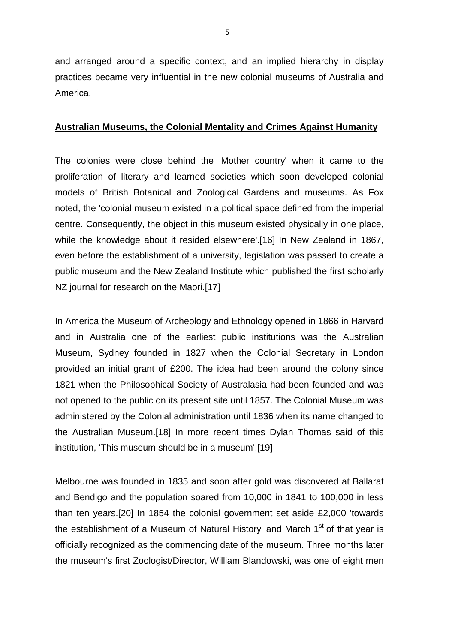and arranged around a specific context, and an implied hierarchy in display practices became very influential in the new colonial museums of Australia and America.

### **Australian Museums, the Colonial Mentality and Crimes Against Humanity**

The colonies were close behind the 'Mother country' when it came to the proliferation of literary and learned societies which soon developed colonial models of British Botanical and Zoological Gardens and museums. As Fox noted, the 'colonial museum existed in a political space defined from the imperial centre. Consequently, the object in this museum existed physically in one place, while the knowledge about it resided elsewhere'.[16] In New Zealand in 1867, even before the establishment of a university, legislation was passed to create a public museum and the New Zealand Institute which published the first scholarly NZ journal for research on the Maori.[17]

In America the Museum of Archeology and Ethnology opened in 1866 in Harvard and in Australia one of the earliest public institutions was the Australian Museum, Sydney founded in 1827 when the Colonial Secretary in London provided an initial grant of £200. The idea had been around the colony since 1821 when the Philosophical Society of Australasia had been founded and was not opened to the public on its present site until 1857. The Colonial Museum was administered by the Colonial administration until 1836 when its name changed to the Australian Museum.[18] In more recent times Dylan Thomas said of this institution, 'This museum should be in a museum'.[19]

Melbourne was founded in 1835 and soon after gold was discovered at Ballarat and Bendigo and the population soared from 10,000 in 1841 to 100,000 in less than ten years.[20] In 1854 the colonial government set aside £2,000 'towards the establishment of a Museum of Natural History' and March  $1<sup>st</sup>$  of that year is officially recognized as the commencing date of the museum. Three months later the museum's first Zoologist/Director, William Blandowski, was one of eight men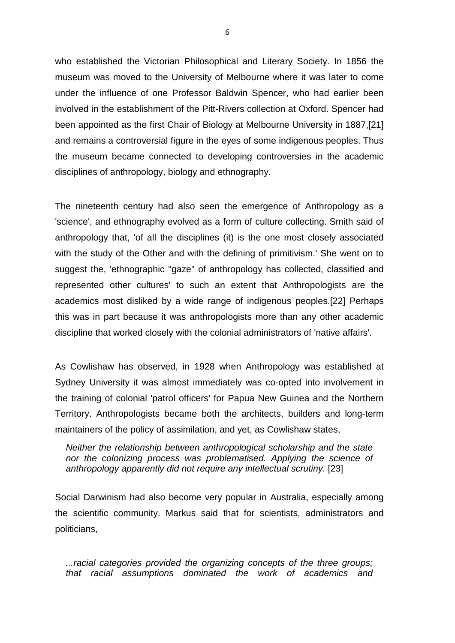who established the Victorian Philosophical and Literary Society. In 1856 the museum was moved to the University of Melbourne where it was later to come under the influence of one Professor Baldwin Spencer, who had earlier been involved in the establishment of the Pitt-Rivers collection at Oxford. Spencer had been appointed as the first Chair of Biology at Melbourne University in 1887,[21] and remains a controversial figure in the eyes of some indigenous peoples. Thus the museum became connected to developing controversies in the academic disciplines of anthropology, biology and ethnography.

The nineteenth century had also seen the emergence of Anthropology as a 'science', and ethnography evolved as a form of culture collecting. Smith said of anthropology that, 'of all the disciplines (it) is the one most closely associated with the study of the Other and with the defining of primitivism.' She went on to suggest the, 'ethnographic "gaze" of anthropology has collected, classified and represented other cultures' to such an extent that Anthropologists are the academics most disliked by a wide range of indigenous peoples.[22] Perhaps this was in part because it was anthropologists more than any other academic discipline that worked closely with the colonial administrators of 'native affairs'.

As Cowlishaw has observed, in 1928 when Anthropology was established at Sydney University it was almost immediately was co-opted into involvement in the training of colonial 'patrol officers' for Papua New Guinea and the Northern Territory. Anthropologists became both the architects, builders and long-term maintainers of the policy of assimilation, and yet, as Cowlishaw states,

*Neither the relationship between anthropological scholarship and the state nor the colonizing process was problematised. Applying the science of anthropology apparently did not require any intellectual scrutiny.* [23]

Social Darwinism had also become very popular in Australia, especially among the scientific community. Markus said that for scientists, administrators and politicians,

*...racial categories provided the organizing concepts of the three groups; that racial assumptions dominated the work of academics and*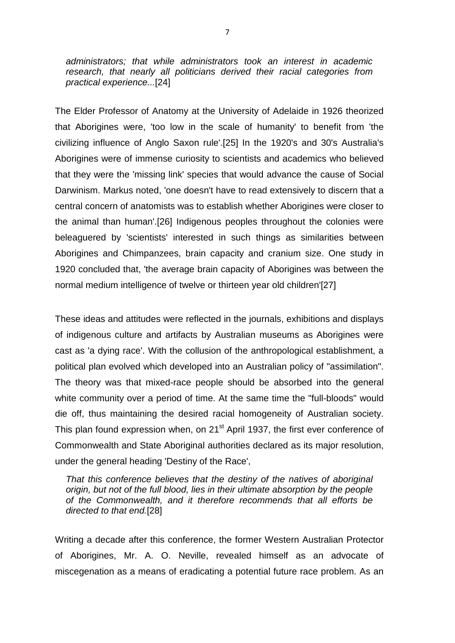*administrators; that while administrators took an interest in academic research, that nearly all politicians derived their racial categories from practical experience...*[24]

The Elder Professor of Anatomy at the University of Adelaide in 1926 theorized that Aborigines were, 'too low in the scale of humanity' to benefit from 'the civilizing influence of Anglo Saxon rule'.[25] In the 1920's and 30's Australia's Aborigines were of immense curiosity to scientists and academics who believed that they were the 'missing link' species that would advance the cause of Social Darwinism. Markus noted, 'one doesn't have to read extensively to discern that a central concern of anatomists was to establish whether Aborigines were closer to the animal than human'.[26] Indigenous peoples throughout the colonies were beleaguered by 'scientists' interested in such things as similarities between Aborigines and Chimpanzees, brain capacity and cranium size. One study in 1920 concluded that, 'the average brain capacity of Aborigines was between the normal medium intelligence of twelve or thirteen year old children'[27]

These ideas and attitudes were reflected in the journals, exhibitions and displays of indigenous culture and artifacts by Australian museums as Aborigines were cast as 'a dying race'. With the collusion of the anthropological establishment, a political plan evolved which developed into an Australian policy of "assimilation". The theory was that mixed-race people should be absorbed into the general white community over a period of time. At the same time the "full-bloods" would die off, thus maintaining the desired racial homogeneity of Australian society. This plan found expression when, on 21<sup>st</sup> April 1937, the first ever conference of Commonwealth and State Aboriginal authorities declared as its major resolution, under the general heading 'Destiny of the Race',

*That this conference believes that the destiny of the natives of aboriginal origin, but not of the full blood, lies in their ultimate absorption by the people of the Commonwealth, and it therefore recommends that all efforts be directed to that end.*[28]

Writing a decade after this conference, the former Western Australian Protector of Aborigines, Mr. A. O. Neville, revealed himself as an advocate of miscegenation as a means of eradicating a potential future race problem. As an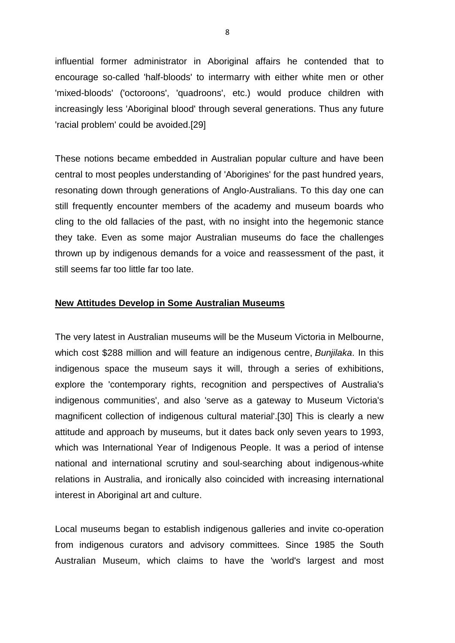influential former administrator in Aboriginal affairs he contended that to encourage so-called 'half-bloods' to intermarry with either white men or other 'mixed-bloods' ('octoroons', 'quadroons', etc.) would produce children with increasingly less 'Aboriginal blood' through several generations. Thus any future 'racial problem' could be avoided.[29]

These notions became embedded in Australian popular culture and have been central to most peoples understanding of 'Aborigines' for the past hundred years, resonating down through generations of Anglo-Australians. To this day one can still frequently encounter members of the academy and museum boards who cling to the old fallacies of the past, with no insight into the hegemonic stance they take. Even as some major Australian museums do face the challenges thrown up by indigenous demands for a voice and reassessment of the past, it still seems far too little far too late.

### **New Attitudes Develop in Some Australian Museums**

The very latest in Australian museums will be the Museum Victoria in Melbourne, which cost \$288 million and will feature an indigenous centre, *Bunjilaka*. In this indigenous space the museum says it will, through a series of exhibitions, explore the 'contemporary rights, recognition and perspectives of Australia's indigenous communities', and also 'serve as a gateway to Museum Victoria's magnificent collection of indigenous cultural material'.[30] This is clearly a new attitude and approach by museums, but it dates back only seven years to 1993, which was International Year of Indigenous People. It was a period of intense national and international scrutiny and soul-searching about indigenous-white relations in Australia, and ironically also coincided with increasing international interest in Aboriginal art and culture.

Local museums began to establish indigenous galleries and invite co-operation from indigenous curators and advisory committees. Since 1985 the South Australian Museum, which claims to have the 'world's largest and most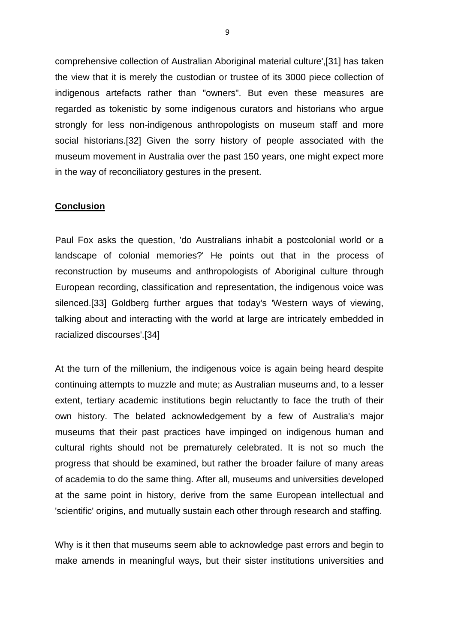comprehensive collection of Australian Aboriginal material culture',[31] has taken the view that it is merely the custodian or trustee of its 3000 piece collection of indigenous artefacts rather than "owners". But even these measures are regarded as tokenistic by some indigenous curators and historians who argue strongly for less non-indigenous anthropologists on museum staff and more social historians.[32] Given the sorry history of people associated with the museum movement in Australia over the past 150 years, one might expect more in the way of reconciliatory gestures in the present.

### **Conclusion**

Paul Fox asks the question, 'do Australians inhabit a postcolonial world or a landscape of colonial memories?' He points out that in the process of reconstruction by museums and anthropologists of Aboriginal culture through European recording, classification and representation, the indigenous voice was silenced.[33] Goldberg further argues that today's 'Western ways of viewing, talking about and interacting with the world at large are intricately embedded in racialized discourses'.[34]

At the turn of the millenium, the indigenous voice is again being heard despite continuing attempts to muzzle and mute; as Australian museums and, to a lesser extent, tertiary academic institutions begin reluctantly to face the truth of their own history. The belated acknowledgement by a few of Australia's major museums that their past practices have impinged on indigenous human and cultural rights should not be prematurely celebrated. It is not so much the progress that should be examined, but rather the broader failure of many areas of academia to do the same thing. After all, museums and universities developed at the same point in history, derive from the same European intellectual and 'scientific' origins, and mutually sustain each other through research and staffing.

Why is it then that museums seem able to acknowledge past errors and begin to make amends in meaningful ways, but their sister institutions universities and

9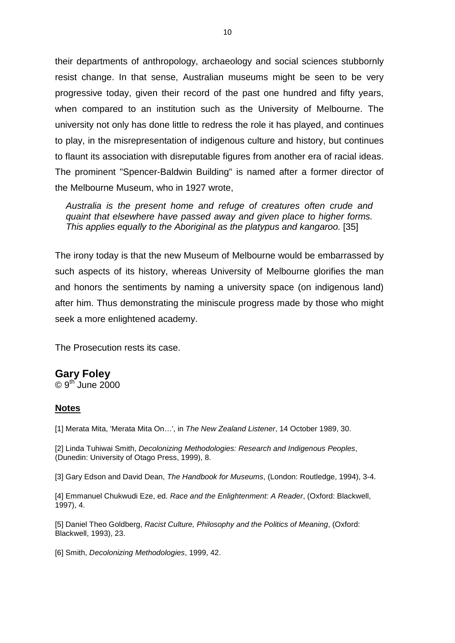their departments of anthropology, archaeology and social sciences stubbornly resist change. In that sense, Australian museums might be seen to be very progressive today, given their record of the past one hundred and fifty years, when compared to an institution such as the University of Melbourne. The university not only has done little to redress the role it has played, and continues to play, in the misrepresentation of indigenous culture and history, but continues to flaunt its association with disreputable figures from another era of racial ideas. The prominent "Spencer-Baldwin Building" is named after a former director of the Melbourne Museum, who in 1927 wrote,

*Australia is the present home and refuge of creatures often crude and quaint that elsewhere have passed away and given place to higher forms. This applies equally to the Aboriginal as the platypus and kangaroo.* [35]

The irony today is that the new Museum of Melbourne would be embarrassed by such aspects of its history, whereas University of Melbourne glorifies the man and honors the sentiments by naming a university space (on indigenous land) after him. Thus demonstrating the miniscule progress made by those who might seek a more enlightened academy.

The Prosecution rests its case.

## **Gary Foley**

 $\odot$  9<sup>th</sup> June 2000

#### **Notes**

[1] Merata Mita, 'Merata Mita On…', in *The New Zealand Listener*, 14 October 1989, 30.

[2] Linda Tuhiwai Smith, *Decolonizing Methodologies: Research and Indigenous Peoples*, (Dunedin: University of Otago Press, 1999), 8.

[3] Gary Edson and David Dean, *The Handbook for Museums*, (London: Routledge, 1994), 3-4.

[4] Emmanuel Chukwudi Eze, ed. *Race and the Enlightenment: A Reader*, (Oxford: Blackwell, 1997), 4.

[5] Daniel Theo Goldberg, *Racist Culture, Philosophy and the Politics of Meaning*, (Oxford: Blackwell, 1993), 23.

[6] Smith, *Decolonizing Methodologies*, 1999, 42.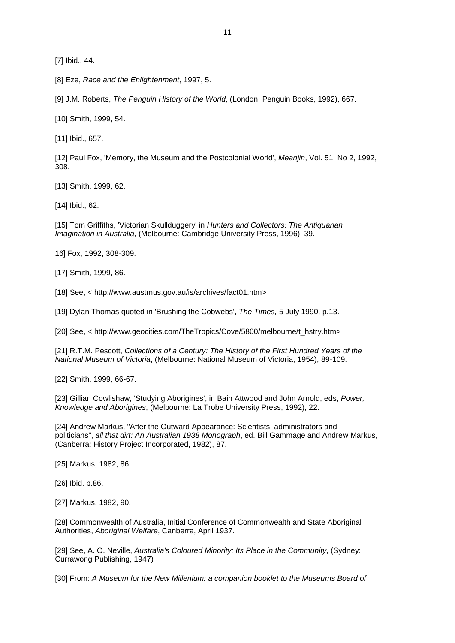[7] Ibid., 44.

[8] Eze, *Race and the Enlightenment*, 1997, 5.

[9] J.M. Roberts, *The Penguin History of the World*, (London: Penguin Books, 1992), 667.

[10] Smith, 1999, 54.

[11] Ibid., 657.

[12] Paul Fox, 'Memory, the Museum and the Postcolonial World', *Meanjin*, Vol. 51, No 2, 1992, 308.

[13] Smith, 1999, 62.

[14] Ibid., 62.

[15] Tom Griffiths, 'Victorian Skullduggery' in *Hunters and Collectors: The Antiquarian Imagination in Australia*, (Melbourne: Cambridge University Press, 1996), 39.

16] Fox, 1992, 308-309.

[17] Smith, 1999, 86.

[18] See, < http://www.austmus.gov.au/is/archives/fact01.htm>

[19] Dylan Thomas quoted in 'Brushing the Cobwebs', *The Times,* 5 July 1990, p.13.

[20] See, < http://www.geocities.com/TheTropics/Cove/5800/melbourne/t\_hstry.htm>

[21] R.T.M. Pescott, *Collections of a Century: The History of the First Hundred Years of the National Museum of Victoria*, (Melbourne: National Museum of Victoria, 1954), 89-109.

[22] Smith, 1999, 66-67.

[23] Gillian Cowlishaw, 'Studying Aborigines', in Bain Attwood and John Arnold, eds, *Power, Knowledge and Aborigines*, (Melbourne: La Trobe University Press, 1992), 22.

[24] Andrew Markus, "After the Outward Appearance: Scientists, administrators and politicians", *all that dirt: An Australian 1938 Monograph*, ed. Bill Gammage and Andrew Markus, (Canberra: History Project Incorporated, 1982), 87.

[25] Markus, 1982, 86.

[26] Ibid. p.86.

[27] Markus, 1982, 90.

[28] Commonwealth of Australia, Initial Conference of Commonwealth and State Aboriginal Authorities, *Aboriginal Welfare*, Canberra, April 1937.

[29] See, A. O. Neville, *Australia's Coloured Minority: Its Place in the Community*, (Sydney: Currawong Publishing, 1947)

[30] From: A Museum for the New Millenium: a companion booklet to the Museums Board of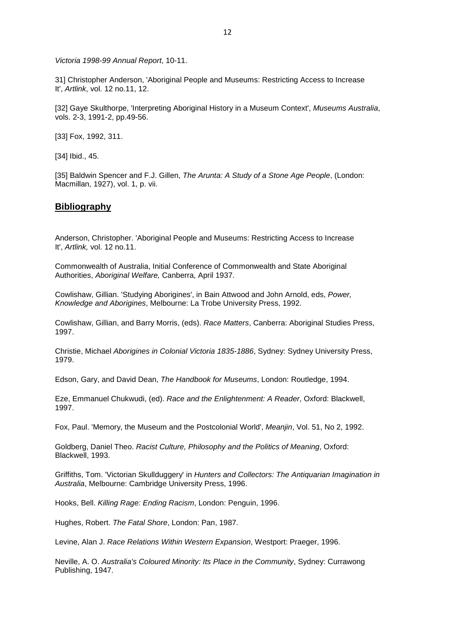*Victoria 1998-99 Annual Report*, 10-11.

31] Christopher Anderson, 'Aboriginal People and Museums: Restricting Access to Increase It', *Artlink*, vol. 12 no.11, 12.

[32] Gaye Skulthorpe, 'Interpreting Aboriginal History in a Museum Context', *Museums Australia*, vols. 2-3, 1991-2, pp.49-56.

[33] Fox, 1992, 311.

[34] Ibid., 45.

[35] Baldwin Spencer and F.J. Gillen, *The Arunta: A Study of a Stone Age People*, (London: Macmillan, 1927), vol. 1, p. vii.

#### **Bibliography**

Anderson, Christopher. 'Aboriginal People and Museums: Restricting Access to Increase It', *Artlink,* vol. 12 no.11.

Commonwealth of Australia, Initial Conference of Commonwealth and State Aboriginal Authorities, *Aboriginal Welfare,* Canberra, April 1937.

Cowlishaw, Gillian. 'Studying Aborigines', in Bain Attwood and John Arnold, eds, *Power, Knowledge and Aborigines*, Melbourne: La Trobe University Press, 1992.

Cowlishaw, Gillian, and Barry Morris, (eds). *Race Matters*, Canberra: Aboriginal Studies Press, 1997.

Christie, Michael *Aborigines in Colonial Victoria 1835-1886*, Sydney: Sydney University Press, 1979.

Edson, Gary, and David Dean, *The Handbook for Museums*, London: Routledge, 1994.

Eze, Emmanuel Chukwudi, (ed). *Race and the Enlightenment: A Reader*, Oxford: Blackwell, 1997.

Fox, Paul. 'Memory, the Museum and the Postcolonial World', *Meanjin*, Vol. 51, No 2, 1992.

Goldberg, Daniel Theo. *Racist Culture, Philosophy and the Politics of Meaning*, Oxford: Blackwell, 1993.

Griffiths, Tom. 'Victorian Skullduggery' in *Hunters and Collectors: The Antiquarian Imagination in Australia*, Melbourne: Cambridge University Press, 1996.

Hooks, Bell. *Killing Rage: Ending Racism*, London: Penguin, 1996.

Hughes, Robert. *The Fatal Shore*, London: Pan, 1987.

Levine, Alan J. *Race Relations Within Western Expansion*, Westport: Praeger, 1996.

Neville, A. O. *Australia's Coloured Minority: Its Place in the Community*, Sydney: Currawong Publishing, 1947.